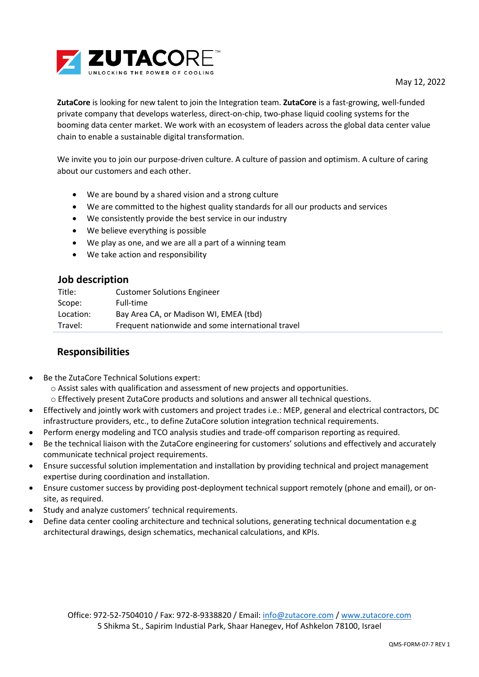

**ZutaCore** is looking for new talent to join the Integration team. **ZutaCore** is a fast-growing, well-funded private company that develops waterless, direct-on-chip, two-phase liquid cooling systems for the booming data center market. We work with an ecosystem of leaders across the global data center value chain to enable a sustainable digital transformation.

We invite you to join our purpose-driven culture. A culture of passion and optimism. A culture of caring about our customers and each other.

- We are bound by a shared vision and a strong culture
- We are committed to the highest quality standards for all our products and services
- We consistently provide the best service in our industry
- We believe everything is possible
- We play as one, and we are all a part of a winning team
- We take action and responsibility

## **Job description**

| Title:    | <b>Customer Solutions Engineer</b>                |
|-----------|---------------------------------------------------|
| Scope:    | Full-time                                         |
| Location: | Bay Area CA, or Madison WI, EMEA (tbd)            |
| Travel:   | Frequent nationwide and some international travel |

## **Responsibilities**

- Be the ZutaCore Technical Solutions expert: o Assist sales with qualification and assessment of new projects and opportunities. o Effectively present ZutaCore products and solutions and answer all technical questions.
- Effectively and jointly work with customers and project trades i.e.: MEP, general and electrical contractors, DC infrastructure providers, etc., to define ZutaCore solution integration technical requirements.
- Perform energy modeling and TCO analysis studies and trade-off comparison reporting as required.
- Be the technical liaison with the ZutaCore engineering for customers' solutions and effectively and accurately communicate technical project requirements.
- Ensure successful solution implementation and installation by providing technical and project management expertise during coordination and installation.
- Ensure customer success by providing post-deployment technical support remotely (phone and email), or onsite, as required.
- Study and analyze customers' technical requirements.
- Define data center cooling architecture and technical solutions, generating technical documentation e.g architectural drawings, design schematics, mechanical calculations, and KPIs.